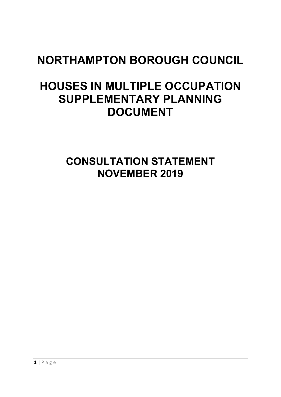# **NORTHAMPTON BOROUGH COUNCIL**

## **HOUSES IN MULTIPLE OCCUPATION SUPPLEMENTARY PLANNING DOCUMENT**

**CONSULTATION STATEMENT NOVEMBER 2019**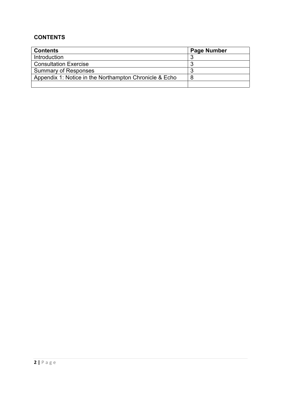## **CONTENTS**

| <b>Contents</b>                                        | <b>Page Number</b> |
|--------------------------------------------------------|--------------------|
| Introduction                                           |                    |
| <b>Consultation Exercise</b>                           |                    |
| <b>Summary of Responses</b>                            |                    |
| Appendix 1: Notice in the Northampton Chronicle & Echo |                    |
|                                                        |                    |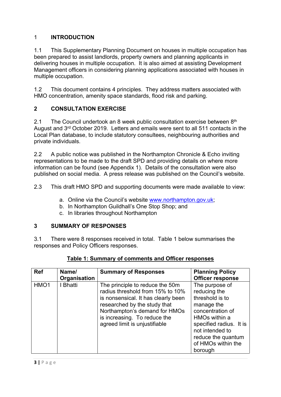#### 1 **INTRODUCTION**

1.1 This Supplementary Planning Document on houses in multiple occupation has been prepared to assist landlords, property owners and planning applicants in delivering houses in multiple occupation. It is also aimed at assisting Development Management officers in considering planning applications associated with houses in multiple occupation.

1.2 This document contains 4 principles. They address matters associated with HMO concentration, amenity space standards, flood risk and parking.

#### **2 CONSULTATION EXERCISE**

2.1 The Council undertook an 8 week public consultation exercise between 8<sup>th</sup> August and 3<sup>rd</sup> October 2019. Letters and emails were sent to all 511 contacts in the Local Plan database, to include statutory consultees, neighbouring authorities and private individuals.

2.2 A public notice was published in the Northampton Chronicle & Echo inviting representations to be made to the draft SPD and providing details on where more information can be found (see Appendix 1). Details of the consultation were also published on social media. A press release was published on the Council's website.

2.3 This draft HMO SPD and supporting documents were made available to view:

- a. Online via the Council's website [www.northampton.gov.uk](http://www.northampton.gov.uk/);
- b. In Northampton Guildhall's One Stop Shop; and
- c. In libraries throughout Northampton

#### **3 SUMMARY OF RESPONSES**

3.1 There were 8 responses received in total. Table 1 below summarises the responses and Policy Officers responses.

| <b>Ref</b>       | Name/<br>Organisation | <b>Summary of Responses</b>                                                                                                                                                                                                                  | <b>Planning Policy</b><br><b>Officer response</b>                                                                                                                                                         |
|------------------|-----------------------|----------------------------------------------------------------------------------------------------------------------------------------------------------------------------------------------------------------------------------------------|-----------------------------------------------------------------------------------------------------------------------------------------------------------------------------------------------------------|
| HMO <sub>1</sub> | I Bhatti              | The principle to reduce the 50m<br>radius threshold from 15% to 10%<br>is nonsensical. It has clearly been<br>researched by the study that<br>Northampton's demand for HMOs<br>is increasing. To reduce the<br>agreed limit is unjustifiable | The purpose of<br>reducing the<br>threshold is to<br>manage the<br>concentration of<br>HMOs within a<br>specified radius. It is<br>not intended to<br>reduce the quantum<br>of HMOs within the<br>borough |

#### **Table 1: Summary of comments and Officer responses**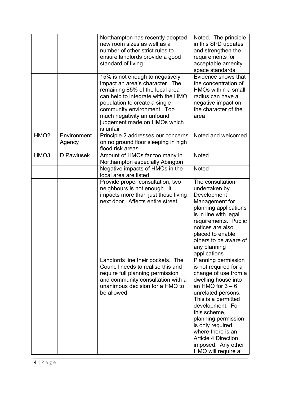|                  |                       | Northampton has recently adopted<br>new room sizes as well as a<br>number of other strict rules to<br>ensure landlords provide a good<br>standard of living                                                                                                                           | Noted. The principle<br>in this SPD updates<br>and strengthen the<br>requirements for<br>acceptable amenity<br>space standards                                                                                                                                                                                                               |
|------------------|-----------------------|---------------------------------------------------------------------------------------------------------------------------------------------------------------------------------------------------------------------------------------------------------------------------------------|----------------------------------------------------------------------------------------------------------------------------------------------------------------------------------------------------------------------------------------------------------------------------------------------------------------------------------------------|
|                  |                       | 15% is not enough to negatively<br>impact an area's character. The<br>remaining 85% of the local area<br>can help to integrate with the HMO<br>population to create a single<br>community environment. Too<br>much negativity an unfound<br>judgement made on HMOs which<br>is unfair | Evidence shows that<br>the concentration of<br>HMOs within a small<br>radius can have a<br>negative impact on<br>the character of the<br>area                                                                                                                                                                                                |
| HMO <sub>2</sub> | Environment<br>Agency | Principle 2 addresses our concerns<br>on no ground floor sleeping in high<br>flood risk areas                                                                                                                                                                                         | Noted and welcomed                                                                                                                                                                                                                                                                                                                           |
| HMO <sub>3</sub> | D Pawlusek            | Amount of HMOs far too many in<br>Northampton especially Abington                                                                                                                                                                                                                     | <b>Noted</b>                                                                                                                                                                                                                                                                                                                                 |
|                  |                       | Negative impacts of HMOs in the<br>local area are listed                                                                                                                                                                                                                              | <b>Noted</b>                                                                                                                                                                                                                                                                                                                                 |
|                  |                       | Provide proper consultation, two<br>neighbours is not enough. It<br>impacts more than just those living<br>next door. Affects entire street                                                                                                                                           | The consultation<br>undertaken by<br>Development<br>Management for<br>planning applications<br>is in line with legal<br>requirements. Public<br>notices are also<br>placed to enable<br>others to be aware of<br>any planning<br>applications                                                                                                |
|                  |                       | Landlords line their pockets. The<br>Council needs to realise this and<br>require full planning permission<br>and community consultation with a<br>unanimous decision for a HMO to<br>be allowed                                                                                      | Planning permission<br>is not required for a<br>change of use from a<br>dwelling house into<br>an HMO for $3 - 6$<br>unrelated persons.<br>This is a permitted<br>development. For<br>this scheme,<br>planning permission<br>is only required<br>where there is an<br><b>Article 4 Direction</b><br>imposed. Any other<br>HMO will require a |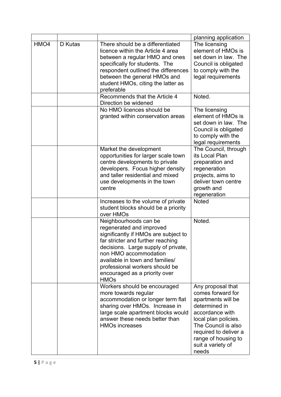|      |         |                                                                                                                                                                                                                                                                                                                     | planning application                                                                                                                                                                                                          |
|------|---------|---------------------------------------------------------------------------------------------------------------------------------------------------------------------------------------------------------------------------------------------------------------------------------------------------------------------|-------------------------------------------------------------------------------------------------------------------------------------------------------------------------------------------------------------------------------|
| HMO4 | D Kutas | There should be a differentiated<br>licence within the Article 4 area<br>between a regular HMO and ones<br>specifically for students. The<br>respondent outlined the differences<br>between the general HMOs and<br>student HMOs, citing the latter as<br>preferable                                                | The licensing<br>element of HMOs is<br>set down in law. The<br>Council is obligated<br>to comply with the<br>legal requirements                                                                                               |
|      |         | Recommends that the Article 4<br>Direction be widened                                                                                                                                                                                                                                                               | Noted.                                                                                                                                                                                                                        |
|      |         | No HMO licences should be<br>granted within conservation areas                                                                                                                                                                                                                                                      | The licensing<br>element of HMOs is<br>set down in law. The<br>Council is obligated<br>to comply with the<br>legal requirements                                                                                               |
|      |         | Market the development<br>opportunities for larger scale town<br>centre developments to private<br>developers. Focus higher density<br>and taller residential and mixed<br>use developments in the town<br>centre                                                                                                   | The Council, through<br>its Local Plan<br>preparation and<br>regeneration<br>projects, aims to<br>deliver town centre<br>growth and<br>regeneration                                                                           |
|      |         | Increases to the volume of private<br>student blocks should be a priority<br>over HMOs                                                                                                                                                                                                                              | <b>Noted</b>                                                                                                                                                                                                                  |
|      |         | Neighbourhoods can be<br>regenerated and improved<br>significantly if HMOs are subject to<br>far stricter and further reaching<br>decisions. Large supply of private,<br>non HMO accommodation<br>available in town and families/<br>professional workers should be<br>encouraged as a priority over<br><b>HMOs</b> | Noted.                                                                                                                                                                                                                        |
|      |         | Workers should be encouraged<br>more towards regular<br>accommodation or longer term flat<br>sharing over HMOs. Increase in<br>large scale apartment blocks would<br>answer these needs better than<br><b>HMOs increases</b>                                                                                        | Any proposal that<br>comes forward for<br>apartments will be<br>determined in<br>accordance with<br>local plan policies.<br>The Council is also<br>required to deliver a<br>range of housing to<br>suit a variety of<br>needs |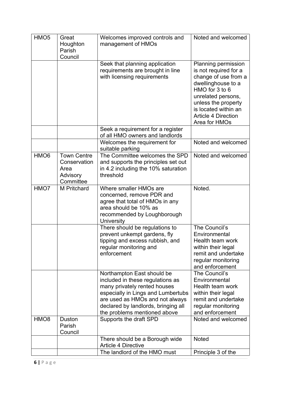| HMO <sub>5</sub> | Great<br>Houghton<br>Parish<br>Council                              | Welcomes improved controls and<br>management of HMOs                                                                                                                                                                                           | Noted and welcomed                                                                                                                                                                                                               |
|------------------|---------------------------------------------------------------------|------------------------------------------------------------------------------------------------------------------------------------------------------------------------------------------------------------------------------------------------|----------------------------------------------------------------------------------------------------------------------------------------------------------------------------------------------------------------------------------|
|                  |                                                                     | Seek that planning application<br>requirements are brought in line<br>with licensing requirements                                                                                                                                              | Planning permission<br>is not required for a<br>change of use from a<br>dwellinghouse to a<br>HMO for 3 to 6<br>unrelated persons,<br>unless the property<br>is located within an<br><b>Article 4 Direction</b><br>Area for HMOs |
|                  |                                                                     | Seek a requirement for a register                                                                                                                                                                                                              |                                                                                                                                                                                                                                  |
|                  |                                                                     | of all HMO owners and landlords<br>Welcomes the requirement for<br>suitable parking                                                                                                                                                            | Noted and welcomed                                                                                                                                                                                                               |
| HMO <sub>6</sub> | <b>Town Centre</b><br>Conservation<br>Area<br>Advisory<br>Committee | The Committee welcomes the SPD<br>and supports the principles set out<br>in 4.2 including the 10% saturation<br>threshold                                                                                                                      | Noted and welcomed                                                                                                                                                                                                               |
| HMO7             | M Pritchard                                                         | Where smaller HMOs are<br>concerned, remove PDR and<br>agree that total of HMOs in any<br>area should be 10% as<br>recommended by Loughborough<br><b>University</b>                                                                            | Noted.                                                                                                                                                                                                                           |
|                  |                                                                     | There should be regulations to<br>prevent unkempt gardens, fly<br>tipping and excess rubbish, and<br>regular monitoring and<br>enforcement                                                                                                     | The Council's<br>Environmental<br>Health team work<br>within their legal<br>remit and undertake<br>regular monitoring<br>and enforcement                                                                                         |
|                  |                                                                     | Northampton East should be<br>included in these regulations as<br>many privately rented houses<br>especially in Lings and Lumbertubs<br>are used as HMOs and not always<br>declared by landlords, bringing all<br>the problems mentioned above | The Council's<br>Environmental<br>Health team work<br>within their legal<br>remit and undertake<br>regular monitoring<br>and enforcement                                                                                         |
| HMO <sub>8</sub> | Duston<br>Parish<br>Council                                         | Supports the draft SPD                                                                                                                                                                                                                         | Noted and welcomed                                                                                                                                                                                                               |
|                  |                                                                     | There should be a Borough wide<br><b>Article 4 Directive</b>                                                                                                                                                                                   | <b>Noted</b>                                                                                                                                                                                                                     |
|                  |                                                                     | The landlord of the HMO must                                                                                                                                                                                                                   | Principle 3 of the                                                                                                                                                                                                               |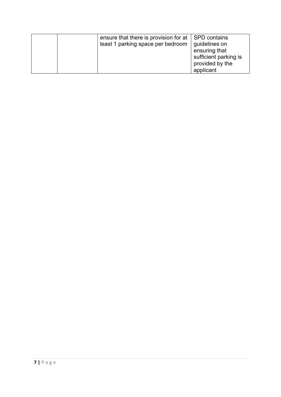| ensure that there is provision for at $\vert$ SPD contains<br>least 1 parking space per bedroom | guidelines on<br>ensuring that<br>sufficient parking is<br>provided by the |
|-------------------------------------------------------------------------------------------------|----------------------------------------------------------------------------|
|                                                                                                 | applicant                                                                  |